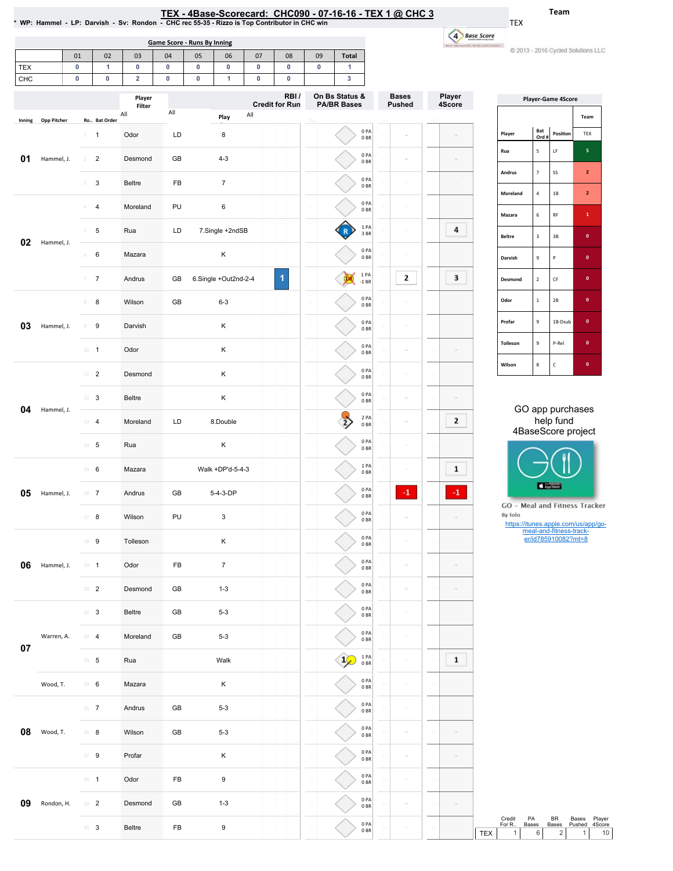| TEX - 4Base-Scorecard: CHC090 - 07-16-16 - TEX 1 @ CHC 3                                      |
|-----------------------------------------------------------------------------------------------|
| NP: Hammel - LP: Darvish - Sv: Rondon - CHC rec 55-35 - Rizzo is Top Contributor in CHC win * |

1

0PA 0BR

1

Bases Pushed

 $\overline{\phantom{a}}$ 

 $\bar{\phantom{a}}$ 

 $\bar{\phantom{a}}$ 

Ro..

Player 4Score

 $\equiv$ 

 $\bar{\phantom{a}}$ 

 $\overline{a}$ 

4 Base Score .<br>Non factors construct

2

3

0PA 0BR

0PA 0BR

2

3

1 1 Odor LD 8

3 3 Beltre FB 7

Desmond GB 4-3

Inning Opp Pitcher Ro.. Bat Order

**01** Hammel, J. 2 2

Team

C 2013 - 2016 Cycled Solutions LLC

TEX

u)

|            | Game Score - Runs By Inning                     |    |                     |                  |     |    |      |     |                               |                   |                                      |  |
|------------|-------------------------------------------------|----|---------------------|------------------|-----|----|------|-----|-------------------------------|-------------------|--------------------------------------|--|
|            |                                                 | 01 | 02                  | 03               | 04  | 05 | 06   | 07  | 08                            | 09                | <b>Total</b>                         |  |
| <b>TEX</b> |                                                 | 0  |                     | 0                | 0   | 0  | 0    | 0   | O                             | 0                 |                                      |  |
| <b>CHC</b> |                                                 | 0  | 0                   | $\overline{2}$   | O   | O  |      | 0   |                               |                   |                                      |  |
|            |                                                 |    |                     | Player<br>Filter |     |    |      |     | RBI/<br><b>Credit for Run</b> |                   | On Bs Status &<br><b>PA/BR Bases</b> |  |
|            | to above 10 minutes of the District of the U.S. |    | <b>De Det Order</b> | All              | All |    | Play | All |                               | <b>COLLECTION</b> |                                      |  |

|               |                         | <b>Player-Game 4Score</b> |                |
|---------------|-------------------------|---------------------------|----------------|
|               |                         |                           | Team           |
| Player        | Bat<br>Ord #            | Position                  | <b>TEX</b>     |
| Rua           | 5                       | LF                        | 5              |
| <b>Andrus</b> | $\overline{7}$          | SS                        | $\overline{a}$ |
| Moreland      | 4                       | 1B                        | $\overline{2}$ |
| Mazara        | 6                       | RF                        | $\mathbf{1}$   |
| <b>Beltre</b> | $\overline{\mathbf{3}}$ | 3B                        | $\mathbf{0}$   |
| Darvish       | 9                       | P                         | $\mathbf{o}$   |
| Desmond       | $\overline{\mathbf{c}}$ | CF                        | $\mathbf{0}$   |
| Odor          | 1                       | 2B                        | $\mathbf{0}$   |
| Profar        | 9                       | 1B-Dsub                   | $\mathbf{0}$   |
| Tolleson      | 9                       | P-Rel                     | $\mathbf{0}$   |
| Wilson        | 8                       | $\mathsf{C}$              | $\mathbf{0}$   |

|    |            | 4                        | $\overline{4}$ | Moreland | PU | 6                    |                      |  |    | 0PA<br>0BR              |               |                |     | Mazara                                                                          | $\,$ 6 $\,$ | $\mathsf{RF}$                                  | $\mathbf{1}^-$                                      |    |
|----|------------|--------------------------|----------------|----------|----|----------------------|----------------------|--|----|-------------------------|---------------|----------------|-----|---------------------------------------------------------------------------------|-------------|------------------------------------------------|-----------------------------------------------------|----|
|    |            | $5 -$                    | $\sqrt{5}$     | Rua      | LD | 7.Single +2ndSB      |                      |  |    | 1PA<br>3 BR             | $\equiv$      | 4              |     | <b>Beltre</b>                                                                   | $\mathsf3$  | $3\,\mathrm{B}$                                | $\mathbf{0}^-$                                      |    |
| 02 | Hammel, J. | 6                        | 6              | Mazara   |    | К                    |                      |  |    | 0PA<br>0BR              | $\equiv$      | $\equiv$       |     | Darvish                                                                         | 9           | $\,$ P                                         | $\mathbf{0}^-$                                      |    |
|    |            | $\overline{\mathcal{I}}$ | $\overline{7}$ | Andrus   | GB | 6.Single +Out2nd-2-4 | $\blacktriangleleft$ |  |    | 1 PA<br>$-1$ BR         | 2             | 3              |     | Desmond                                                                         | $\mathbf 2$ | $\mathsf{CF}$                                  | $\mathbf{0}^-$                                      |    |
|    |            | 8                        | 8              | Wilson   | GB | $6 - 3$              |                      |  |    | 0PA<br>0BR              | $\frac{1}{2}$ | $\equiv$       |     | Odor                                                                            | $\,1\,$     | $2\mathsf{B}$                                  | $\mathbf{0}^-$                                      |    |
| 03 | Hammel, J. | 9                        | 9              | Darvish  |    | К                    |                      |  |    | 0PA<br>0 <sub>BR</sub>  | $\equiv$      | $\equiv$       |     | Profar                                                                          | 9           | 1B-Dsub                                        | $\mathbf{0}^-$                                      |    |
|    |            | $10 - 1$                 |                | Odor     |    | К                    |                      |  |    | 0PA<br>$0\;\mathrm{BR}$ | $\equiv$      | $\equiv$       |     | Tolleson                                                                        | 9           | P-Rel                                          | $\mathbf{0}^-$                                      |    |
|    |            | $11$ – $2$               |                | Desmond  |    | Κ                    |                      |  |    | 0PA<br>0B               | $\frac{1}{2}$ | $\equiv$       |     | Wilson                                                                          | $\bf8$      | $\mathsf{C}$                                   | $\mathbf{0}^-$                                      |    |
|    |            | $12$ 3                   |                | Beltre   |    | Κ                    |                      |  |    | 0PA<br>0BR              | $\equiv$      | $\equiv$       |     |                                                                                 |             |                                                |                                                     |    |
| 04 | Hammel, J. | $13 - 4$                 |                | Moreland | LD | 8.Double             |                      |  | 2, | 2 PA<br>0 <sub>BR</sub> | $\equiv$      | $\overline{2}$ |     |                                                                                 |             | GO app purchases<br>help fund                  |                                                     |    |
|    |            | $14 - 5$                 |                | Rua      |    | Κ                    |                      |  |    | 0PA<br>0BR              | $\equiv$      |                |     |                                                                                 |             | 4BaseScore project                             |                                                     |    |
|    |            | $15 \t 6$                |                | Mazara   |    | Walk +DP'd-5-4-3     |                      |  |    | 1PA<br>0B               | $\equiv$      | 1              |     |                                                                                 |             |                                                |                                                     |    |
| 05 | Hammel, J. | $16$ 7                   |                | Andrus   | GB | 5-4-3-DP             |                      |  |    | 0PA<br>0BR              | $^{\circ}1$   | $^{\circ 1}$   |     |                                                                                 | App Store   |                                                |                                                     |    |
|    |            | $17$ 8                   |                | Wilson   | PU | 3                    |                      |  |    | 0PA<br>0 <sub>BR</sub>  | $\equiv$      | $\equiv$       |     | GO - Meal and Fitness Tracker<br>By Iolo<br>https://itunes.apple.com/us/app/go- |             |                                                |                                                     |    |
|    |            | 18 9                     |                | Tolleson |    | К                    |                      |  |    | 0PA<br>$0\;\mathrm{BR}$ | $\equiv$      | $\equiv$       |     |                                                                                 |             | meal-and-fitness-track-<br>er/id785910082?mt=8 |                                                     |    |
| 06 | Hammel, J. | $19 - 1$                 |                | Odor     | FB | $\overline{7}$       |                      |  |    | 0PA<br>0BR              | $\equiv$      | $\equiv$       |     |                                                                                 |             |                                                |                                                     |    |
|    |            | $20 - 2$                 |                | Desmond  | GB | $1 - 3$              |                      |  |    | 0PA<br>0B               | $\frac{1}{2}$ | $\equiv$       |     |                                                                                 |             |                                                |                                                     |    |
|    |            | $21 \t3$                 |                | Beltre   | GB | $5 - 3$              |                      |  |    | 0PA<br>0BR              | $\equiv$      | $\equiv$       |     |                                                                                 |             |                                                |                                                     |    |
|    | Warren, A. | $22 - 4$                 |                | Moreland | GB | $5 - 3$              |                      |  |    | 0PA<br>0BR              | $\equiv$      | $\equiv$       |     |                                                                                 |             |                                                |                                                     |    |
| 07 |            | $23 - 5$                 |                | Rua      |    | Walk                 |                      |  | 1( | 1 PA<br>0BR             | $\equiv$      | 1              |     |                                                                                 |             |                                                |                                                     |    |
|    | Wood, T.   | 24 6                     |                | Mazara   |    | Κ                    |                      |  |    | 0PA<br>0BR              |               | $\equiv$       |     |                                                                                 |             |                                                |                                                     |    |
|    |            | $25 - 7$                 |                | Andrus   | GB | $5 - 3$              |                      |  |    | 0PA<br>$0\;\mathrm{BR}$ | $\equiv$      | $\equiv$       |     |                                                                                 |             |                                                |                                                     |    |
| 08 | Wood, T.   | $26 - 8$                 |                | Wilson   | GB | $5 - 3$              |                      |  |    | 0PA<br>0B               | $\equiv$      | $\equiv$       |     |                                                                                 |             |                                                |                                                     |    |
|    |            | $27 - 9$                 |                | Profar   |    | Κ                    |                      |  |    | 0PA<br>0BR              | $\equiv$      | $\equiv$       |     |                                                                                 |             |                                                |                                                     |    |
|    |            | $28 - 1$                 |                | Odor     | FB | 9                    |                      |  |    | 0PA<br>$0\;\mathrm{BR}$ | $\frac{1}{2}$ | $\equiv$       |     |                                                                                 |             |                                                |                                                     |    |
| 09 | Rondon, H. | $29 - 2$                 |                | Desmond  | GB | $1 - 3$              |                      |  |    | 0PA<br>0B               | $\equiv$      | $\equiv$       |     |                                                                                 |             |                                                |                                                     |    |
|    |            | $30-3$                   |                | Beltre   | FB | 9                    |                      |  |    | 0 PA<br>0BR             | $\equiv$      | $\equiv$       | TEX | Credit<br>PA<br>For R<br>Bases<br>$\mathbf{1}$                                  | 6           | BR<br>Bases<br>$\sqrt{2}$                      | Bases<br>Player<br>Pushed<br>4Score<br>$\mathbf{1}$ | 10 |
|    |            |                          |                |          |    |                      |                      |  |    |                         |               |                |     |                                                                                 |             |                                                |                                                     |    |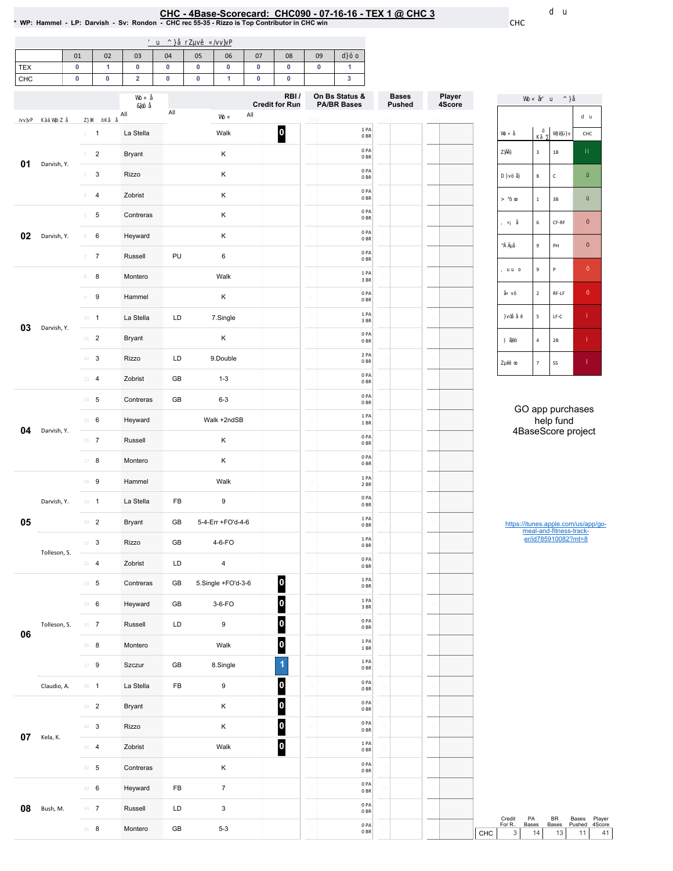### <u>CHC - 4Base-Scorecard: CHC090 - 07-16-16 - TEX 1 @ CHC 3</u>

\*WP:Hammel-LP:Darvish-Sv:Rondon-CHCrec55-35-RizzoisTopContributorinCHCwin CHC

| $\mathbf{1}$<br>$\pmb{0}$<br>$\mathbf 0$<br>$\pmb{0}$<br>$\pmb{0}$<br>$\pmb{0}$<br>0<br>$\pmb{0}$<br>$\bf{0}$<br>$\mathbf{1}$<br>CHC<br>$\pmb{0}$<br>$\pmb{0}$<br>$\overline{\mathbf{2}}$<br>$\pmb{0}$<br>$\pmb{0}$<br>$\mathbf{1}$<br>$\pmb{0}$<br>$\pmb{0}$<br>$\mathbf 3$<br>RBI/<br>On Bs Status &<br>Player<br><b>Bases</b><br>4Score<br><b>Credit for Run</b><br><b>Pushed</b><br><b>PA/BR Bases</b><br>$\mathsf{All}$<br>All<br>All<br>1 PA<br> 0 <br>$1 - 1$<br>La Stella<br>Walk<br>CHC<br>0 <sub>BR</sub><br>0PA<br>$\mathbf{3}$<br>$1\mathsf{B}$<br>К<br>$\overline{2}$<br>Bryant<br>$2 -$<br>0BR<br>Darvish, Y.<br>0PA<br>К<br>$\mathbf{3}$<br>Rizzo<br>$_{3}$ $\,$<br>8<br>$\mathsf{C}$<br>0BR<br>0PA<br>К<br>Zobrist<br>$4 -$<br>$\overline{4}$<br>0 <sub>BR</sub><br>$\mathbf 1$<br>$3\mathsf{B}$<br>0PA<br>К<br>$\sqrt{5}$<br>$5 -$<br>Contreras<br>0 <sub>BR</sub><br>6<br>CF-RF<br>0PA<br>К<br>Darvish, Y.<br>6<br>Heyward<br>6<br>0B<br>9<br>PH<br>0PA<br>$\overline{7}$<br>PU<br>$\,6\,$<br>Russell<br>$\overline{7}$<br>0B<br>9<br>P<br>1PA<br>8<br>Walk<br>$\,$ 8 $\,$<br>Montero<br>3 BR<br>0PA<br>$\overline{2}$<br>$RF-LF$<br>К<br>$\boldsymbol{9}$<br>Hammel<br>9<br>0 <sub>BR</sub><br>1PA<br>$\sf 5$<br>$\mathsf{LF}\text{-}\mathsf{C}$<br>La Stella<br>LD<br>7.Single<br>$10 - 1$<br>3BR<br>Darvish, Y.<br>0PA<br>$11$ – $2$<br>К<br><b>Bryant</b><br>0 <sub>BR</sub><br>$\pmb{4}$<br>$2\mathsf{B}$<br>2 PA<br>$12$ – $3$<br>LD<br>9.Double<br>Rizzo<br>0BR<br>$\overline{7}$<br>SS<br>0PA<br>Zobrist<br>GB<br>$1 - 3$<br>$13 - 4$<br>0BR<br>0PA<br>$14$ – ${\bf 5}$<br>GB<br>$6 - 3$<br>Contreras<br>0 <sub>BR</sub><br>GO app purchases<br>1PA<br>help fund<br>Walk +2ndSB<br>$15 \t 6$<br>Heyward<br>1 BR<br>4BaseScore project<br>Darvish, Y.<br>0PA<br>К<br>$16$ 7<br>Russell<br>0B<br>0PA<br>К<br>Montero<br>0BR<br>1 PA<br>18 9<br>Walk<br>Hammel<br>2 BR<br>0PA<br>$\boldsymbol{9}$<br>La Stella<br>FB<br>Darvish, Y.<br>$19 - 1$<br>0 <sub>BR</sub><br>1PA<br>5-4-Err +FO'd-4-6<br>$20 - 2$<br>Bryant<br>GB<br>0 <sub>BR</sub><br>1 P <sub>A</sub><br>er/id785910082?mt=8<br>$21 - 3$<br>Rizzo<br>GB<br>$4-6-FO$<br>0B<br>Tolleson, S.<br>0PA<br>$22 \t 4$<br>LD<br>$\overline{4}$<br>Zobrist<br>0B<br>$\boxed{\circ}$<br>1PA<br>5.Single +FO'd-3-6<br>$23 - 5$<br>Contreras<br>GB<br>0B<br>$\overline{\mathbf{0}}$<br>1PA<br>$24 - 6$<br>3-6-FO<br>Heyward<br>GB<br>3 BR<br>$\overline{\mathbf{0}}$<br>0PA<br>LD<br>9<br>Tolleson, S.<br>$25 - 7$<br>Russell<br>0BR<br>06<br>$\overline{\mathbf{0}}$<br>1PA<br>$26$ 8<br>Montero<br>Walk<br>$1\;\mathrm{BR}$<br>$\overline{\mathbf{1}}$<br>1PA<br>$27 - 9$<br>Szczur<br>GB<br>8.Single<br>0B<br>$\overline{\phantom{a}}$<br>0PA<br>La Stella<br>FB<br>9<br>Claudio, A.<br>$28 - 1$<br>0B<br>$\boxed{0}$<br>0PA<br>$29 - 2$<br>Κ<br>Bryant<br>0B<br>$\overline{\phantom{a}}$<br>0PA<br>$30-3$<br>Rizzo<br>Κ<br>0BR<br>Kela, K.<br>$\boxed{\mathbf{0}}$<br>$1\ \mathrm{PA}$<br>Walk<br>$31 - 4$<br>Zobrist<br>0B<br>0PA<br>$32 - 5$<br>Contreras<br>Κ<br>0B<br>0PA<br>FB<br>$\overline{7}$<br>33 6<br>Heyward<br>0B<br>0PA<br>Bush, M.<br>LD<br>$\mathsf 3$<br>$34$ 7<br>Russell<br>0B<br>Credit<br>PA<br>BR<br>Bases<br>For R<br>Pushed<br>Bases<br>Bases<br>0PA<br>$35 - 8$ |     |  | 01 |  | 02 | 03      | 04 | 05 | 06    | 07 | 08 |  |    |  |     |                                                                                                                                         |  |  |  |
|--------------------------------------------------------------------------------------------------------------------------------------------------------------------------------------------------------------------------------------------------------------------------------------------------------------------------------------------------------------------------------------------------------------------------------------------------------------------------------------------------------------------------------------------------------------------------------------------------------------------------------------------------------------------------------------------------------------------------------------------------------------------------------------------------------------------------------------------------------------------------------------------------------------------------------------------------------------------------------------------------------------------------------------------------------------------------------------------------------------------------------------------------------------------------------------------------------------------------------------------------------------------------------------------------------------------------------------------------------------------------------------------------------------------------------------------------------------------------------------------------------------------------------------------------------------------------------------------------------------------------------------------------------------------------------------------------------------------------------------------------------------------------------------------------------------------------------------------------------------------------------------------------------------------------------------------------------------------------------------------------------------------------------------------------------------------------------------------------------------------------------------------------------------------------------------------------------------------------------------------------------------------------------------------------------------------------------------------------------------------------------------------------------------------------------------------------------------------------------------------------------------------------------------------------------------------------------------------------------------------------------------------------------------------------------------------------------------------------------------------------------------------------------------------------------------------------------------------------------------------------------------------------------------------------------------------------------------------------------------------------------------------------------------------------------------------------------------------------------------------------------------------------------------------------------------------------------------------------------------------------------------------|-----|--|----|--|----|---------|----|----|-------|----|----|--|----|--|-----|-----------------------------------------------------------------------------------------------------------------------------------------|--|--|--|
|                                                                                                                                                                                                                                                                                                                                                                                                                                                                                                                                                                                                                                                                                                                                                                                                                                                                                                                                                                                                                                                                                                                                                                                                                                                                                                                                                                                                                                                                                                                                                                                                                                                                                                                                                                                                                                                                                                                                                                                                                                                                                                                                                                                                                                                                                                                                                                                                                                                                                                                                                                                                                                                                                                                                                                                                                                                                                                                                                                                                                                                                                                                                                                                                                                                                    | TEX |  |    |  |    |         |    |    |       |    |    |  |    |  |     |                                                                                                                                         |  |  |  |
|                                                                                                                                                                                                                                                                                                                                                                                                                                                                                                                                                                                                                                                                                                                                                                                                                                                                                                                                                                                                                                                                                                                                                                                                                                                                                                                                                                                                                                                                                                                                                                                                                                                                                                                                                                                                                                                                                                                                                                                                                                                                                                                                                                                                                                                                                                                                                                                                                                                                                                                                                                                                                                                                                                                                                                                                                                                                                                                                                                                                                                                                                                                                                                                                                                                                    |     |  |    |  |    |         |    |    |       |    |    |  |    |  |     |                                                                                                                                         |  |  |  |
|                                                                                                                                                                                                                                                                                                                                                                                                                                                                                                                                                                                                                                                                                                                                                                                                                                                                                                                                                                                                                                                                                                                                                                                                                                                                                                                                                                                                                                                                                                                                                                                                                                                                                                                                                                                                                                                                                                                                                                                                                                                                                                                                                                                                                                                                                                                                                                                                                                                                                                                                                                                                                                                                                                                                                                                                                                                                                                                                                                                                                                                                                                                                                                                                                                                                    |     |  |    |  |    |         |    |    |       |    |    |  |    |  |     |                                                                                                                                         |  |  |  |
|                                                                                                                                                                                                                                                                                                                                                                                                                                                                                                                                                                                                                                                                                                                                                                                                                                                                                                                                                                                                                                                                                                                                                                                                                                                                                                                                                                                                                                                                                                                                                                                                                                                                                                                                                                                                                                                                                                                                                                                                                                                                                                                                                                                                                                                                                                                                                                                                                                                                                                                                                                                                                                                                                                                                                                                                                                                                                                                                                                                                                                                                                                                                                                                                                                                                    |     |  |    |  |    |         |    |    |       |    |    |  |    |  |     |                                                                                                                                         |  |  |  |
|                                                                                                                                                                                                                                                                                                                                                                                                                                                                                                                                                                                                                                                                                                                                                                                                                                                                                                                                                                                                                                                                                                                                                                                                                                                                                                                                                                                                                                                                                                                                                                                                                                                                                                                                                                                                                                                                                                                                                                                                                                                                                                                                                                                                                                                                                                                                                                                                                                                                                                                                                                                                                                                                                                                                                                                                                                                                                                                                                                                                                                                                                                                                                                                                                                                                    |     |  |    |  |    |         |    |    | 09    |    |    |  |    |  |     |                                                                                                                                         |  |  |  |
|                                                                                                                                                                                                                                                                                                                                                                                                                                                                                                                                                                                                                                                                                                                                                                                                                                                                                                                                                                                                                                                                                                                                                                                                                                                                                                                                                                                                                                                                                                                                                                                                                                                                                                                                                                                                                                                                                                                                                                                                                                                                                                                                                                                                                                                                                                                                                                                                                                                                                                                                                                                                                                                                                                                                                                                                                                                                                                                                                                                                                                                                                                                                                                                                                                                                    | 01  |  |    |  |    |         |    |    |       |    |    |  |    |  |     |                                                                                                                                         |  |  |  |
|                                                                                                                                                                                                                                                                                                                                                                                                                                                                                                                                                                                                                                                                                                                                                                                                                                                                                                                                                                                                                                                                                                                                                                                                                                                                                                                                                                                                                                                                                                                                                                                                                                                                                                                                                                                                                                                                                                                                                                                                                                                                                                                                                                                                                                                                                                                                                                                                                                                                                                                                                                                                                                                                                                                                                                                                                                                                                                                                                                                                                                                                                                                                                                                                                                                                    |     |  |    |  |    |         |    |    |       |    |    |  |    |  |     |                                                                                                                                         |  |  |  |
|                                                                                                                                                                                                                                                                                                                                                                                                                                                                                                                                                                                                                                                                                                                                                                                                                                                                                                                                                                                                                                                                                                                                                                                                                                                                                                                                                                                                                                                                                                                                                                                                                                                                                                                                                                                                                                                                                                                                                                                                                                                                                                                                                                                                                                                                                                                                                                                                                                                                                                                                                                                                                                                                                                                                                                                                                                                                                                                                                                                                                                                                                                                                                                                                                                                                    |     |  |    |  |    |         |    |    |       |    |    |  |    |  |     |                                                                                                                                         |  |  |  |
|                                                                                                                                                                                                                                                                                                                                                                                                                                                                                                                                                                                                                                                                                                                                                                                                                                                                                                                                                                                                                                                                                                                                                                                                                                                                                                                                                                                                                                                                                                                                                                                                                                                                                                                                                                                                                                                                                                                                                                                                                                                                                                                                                                                                                                                                                                                                                                                                                                                                                                                                                                                                                                                                                                                                                                                                                                                                                                                                                                                                                                                                                                                                                                                                                                                                    |     |  |    |  |    |         |    |    |       |    |    |  |    |  |     |                                                                                                                                         |  |  |  |
|                                                                                                                                                                                                                                                                                                                                                                                                                                                                                                                                                                                                                                                                                                                                                                                                                                                                                                                                                                                                                                                                                                                                                                                                                                                                                                                                                                                                                                                                                                                                                                                                                                                                                                                                                                                                                                                                                                                                                                                                                                                                                                                                                                                                                                                                                                                                                                                                                                                                                                                                                                                                                                                                                                                                                                                                                                                                                                                                                                                                                                                                                                                                                                                                                                                                    | 02  |  |    |  |    |         |    |    |       |    |    |  |    |  |     |                                                                                                                                         |  |  |  |
|                                                                                                                                                                                                                                                                                                                                                                                                                                                                                                                                                                                                                                                                                                                                                                                                                                                                                                                                                                                                                                                                                                                                                                                                                                                                                                                                                                                                                                                                                                                                                                                                                                                                                                                                                                                                                                                                                                                                                                                                                                                                                                                                                                                                                                                                                                                                                                                                                                                                                                                                                                                                                                                                                                                                                                                                                                                                                                                                                                                                                                                                                                                                                                                                                                                                    |     |  |    |  |    |         |    |    |       |    |    |  |    |  |     |                                                                                                                                         |  |  |  |
|                                                                                                                                                                                                                                                                                                                                                                                                                                                                                                                                                                                                                                                                                                                                                                                                                                                                                                                                                                                                                                                                                                                                                                                                                                                                                                                                                                                                                                                                                                                                                                                                                                                                                                                                                                                                                                                                                                                                                                                                                                                                                                                                                                                                                                                                                                                                                                                                                                                                                                                                                                                                                                                                                                                                                                                                                                                                                                                                                                                                                                                                                                                                                                                                                                                                    |     |  |    |  |    |         |    |    |       |    |    |  |    |  |     |                                                                                                                                         |  |  |  |
|                                                                                                                                                                                                                                                                                                                                                                                                                                                                                                                                                                                                                                                                                                                                                                                                                                                                                                                                                                                                                                                                                                                                                                                                                                                                                                                                                                                                                                                                                                                                                                                                                                                                                                                                                                                                                                                                                                                                                                                                                                                                                                                                                                                                                                                                                                                                                                                                                                                                                                                                                                                                                                                                                                                                                                                                                                                                                                                                                                                                                                                                                                                                                                                                                                                                    |     |  |    |  |    |         |    |    |       |    |    |  |    |  |     |                                                                                                                                         |  |  |  |
|                                                                                                                                                                                                                                                                                                                                                                                                                                                                                                                                                                                                                                                                                                                                                                                                                                                                                                                                                                                                                                                                                                                                                                                                                                                                                                                                                                                                                                                                                                                                                                                                                                                                                                                                                                                                                                                                                                                                                                                                                                                                                                                                                                                                                                                                                                                                                                                                                                                                                                                                                                                                                                                                                                                                                                                                                                                                                                                                                                                                                                                                                                                                                                                                                                                                    |     |  |    |  |    |         |    |    |       |    |    |  |    |  |     |                                                                                                                                         |  |  |  |
|                                                                                                                                                                                                                                                                                                                                                                                                                                                                                                                                                                                                                                                                                                                                                                                                                                                                                                                                                                                                                                                                                                                                                                                                                                                                                                                                                                                                                                                                                                                                                                                                                                                                                                                                                                                                                                                                                                                                                                                                                                                                                                                                                                                                                                                                                                                                                                                                                                                                                                                                                                                                                                                                                                                                                                                                                                                                                                                                                                                                                                                                                                                                                                                                                                                                    | 03  |  |    |  |    |         |    |    |       |    |    |  |    |  |     |                                                                                                                                         |  |  |  |
|                                                                                                                                                                                                                                                                                                                                                                                                                                                                                                                                                                                                                                                                                                                                                                                                                                                                                                                                                                                                                                                                                                                                                                                                                                                                                                                                                                                                                                                                                                                                                                                                                                                                                                                                                                                                                                                                                                                                                                                                                                                                                                                                                                                                                                                                                                                                                                                                                                                                                                                                                                                                                                                                                                                                                                                                                                                                                                                                                                                                                                                                                                                                                                                                                                                                    |     |  |    |  |    |         |    |    |       |    |    |  |    |  |     |                                                                                                                                         |  |  |  |
|                                                                                                                                                                                                                                                                                                                                                                                                                                                                                                                                                                                                                                                                                                                                                                                                                                                                                                                                                                                                                                                                                                                                                                                                                                                                                                                                                                                                                                                                                                                                                                                                                                                                                                                                                                                                                                                                                                                                                                                                                                                                                                                                                                                                                                                                                                                                                                                                                                                                                                                                                                                                                                                                                                                                                                                                                                                                                                                                                                                                                                                                                                                                                                                                                                                                    |     |  |    |  |    |         |    |    |       |    |    |  |    |  |     |                                                                                                                                         |  |  |  |
|                                                                                                                                                                                                                                                                                                                                                                                                                                                                                                                                                                                                                                                                                                                                                                                                                                                                                                                                                                                                                                                                                                                                                                                                                                                                                                                                                                                                                                                                                                                                                                                                                                                                                                                                                                                                                                                                                                                                                                                                                                                                                                                                                                                                                                                                                                                                                                                                                                                                                                                                                                                                                                                                                                                                                                                                                                                                                                                                                                                                                                                                                                                                                                                                                                                                    |     |  |    |  |    |         |    |    |       |    |    |  |    |  |     |                                                                                                                                         |  |  |  |
|                                                                                                                                                                                                                                                                                                                                                                                                                                                                                                                                                                                                                                                                                                                                                                                                                                                                                                                                                                                                                                                                                                                                                                                                                                                                                                                                                                                                                                                                                                                                                                                                                                                                                                                                                                                                                                                                                                                                                                                                                                                                                                                                                                                                                                                                                                                                                                                                                                                                                                                                                                                                                                                                                                                                                                                                                                                                                                                                                                                                                                                                                                                                                                                                                                                                    |     |  |    |  |    |         |    |    |       |    |    |  |    |  |     |                                                                                                                                         |  |  |  |
|                                                                                                                                                                                                                                                                                                                                                                                                                                                                                                                                                                                                                                                                                                                                                                                                                                                                                                                                                                                                                                                                                                                                                                                                                                                                                                                                                                                                                                                                                                                                                                                                                                                                                                                                                                                                                                                                                                                                                                                                                                                                                                                                                                                                                                                                                                                                                                                                                                                                                                                                                                                                                                                                                                                                                                                                                                                                                                                                                                                                                                                                                                                                                                                                                                                                    | 04  |  |    |  |    |         |    |    |       |    |    |  |    |  |     | https://itunes.apple.com/us/app/go-<br>meal-and-fitness-track-<br>Player<br>4Score<br>$\ensuremath{\mathsf{3}}$<br>14<br>13<br>11<br>41 |  |  |  |
|                                                                                                                                                                                                                                                                                                                                                                                                                                                                                                                                                                                                                                                                                                                                                                                                                                                                                                                                                                                                                                                                                                                                                                                                                                                                                                                                                                                                                                                                                                                                                                                                                                                                                                                                                                                                                                                                                                                                                                                                                                                                                                                                                                                                                                                                                                                                                                                                                                                                                                                                                                                                                                                                                                                                                                                                                                                                                                                                                                                                                                                                                                                                                                                                                                                                    |     |  |    |  |    |         |    |    |       |    |    |  |    |  |     |                                                                                                                                         |  |  |  |
|                                                                                                                                                                                                                                                                                                                                                                                                                                                                                                                                                                                                                                                                                                                                                                                                                                                                                                                                                                                                                                                                                                                                                                                                                                                                                                                                                                                                                                                                                                                                                                                                                                                                                                                                                                                                                                                                                                                                                                                                                                                                                                                                                                                                                                                                                                                                                                                                                                                                                                                                                                                                                                                                                                                                                                                                                                                                                                                                                                                                                                                                                                                                                                                                                                                                    |     |  |    |  |    |         |    |    |       |    |    |  |    |  |     |                                                                                                                                         |  |  |  |
|                                                                                                                                                                                                                                                                                                                                                                                                                                                                                                                                                                                                                                                                                                                                                                                                                                                                                                                                                                                                                                                                                                                                                                                                                                                                                                                                                                                                                                                                                                                                                                                                                                                                                                                                                                                                                                                                                                                                                                                                                                                                                                                                                                                                                                                                                                                                                                                                                                                                                                                                                                                                                                                                                                                                                                                                                                                                                                                                                                                                                                                                                                                                                                                                                                                                    |     |  |    |  |    |         |    |    |       |    |    |  |    |  |     |                                                                                                                                         |  |  |  |
|                                                                                                                                                                                                                                                                                                                                                                                                                                                                                                                                                                                                                                                                                                                                                                                                                                                                                                                                                                                                                                                                                                                                                                                                                                                                                                                                                                                                                                                                                                                                                                                                                                                                                                                                                                                                                                                                                                                                                                                                                                                                                                                                                                                                                                                                                                                                                                                                                                                                                                                                                                                                                                                                                                                                                                                                                                                                                                                                                                                                                                                                                                                                                                                                                                                                    |     |  |    |  |    |         |    |    |       |    |    |  |    |  |     |                                                                                                                                         |  |  |  |
|                                                                                                                                                                                                                                                                                                                                                                                                                                                                                                                                                                                                                                                                                                                                                                                                                                                                                                                                                                                                                                                                                                                                                                                                                                                                                                                                                                                                                                                                                                                                                                                                                                                                                                                                                                                                                                                                                                                                                                                                                                                                                                                                                                                                                                                                                                                                                                                                                                                                                                                                                                                                                                                                                                                                                                                                                                                                                                                                                                                                                                                                                                                                                                                                                                                                    | 05  |  |    |  |    |         |    |    |       |    |    |  |    |  |     |                                                                                                                                         |  |  |  |
|                                                                                                                                                                                                                                                                                                                                                                                                                                                                                                                                                                                                                                                                                                                                                                                                                                                                                                                                                                                                                                                                                                                                                                                                                                                                                                                                                                                                                                                                                                                                                                                                                                                                                                                                                                                                                                                                                                                                                                                                                                                                                                                                                                                                                                                                                                                                                                                                                                                                                                                                                                                                                                                                                                                                                                                                                                                                                                                                                                                                                                                                                                                                                                                                                                                                    |     |  |    |  |    |         |    |    |       |    |    |  |    |  |     |                                                                                                                                         |  |  |  |
|                                                                                                                                                                                                                                                                                                                                                                                                                                                                                                                                                                                                                                                                                                                                                                                                                                                                                                                                                                                                                                                                                                                                                                                                                                                                                                                                                                                                                                                                                                                                                                                                                                                                                                                                                                                                                                                                                                                                                                                                                                                                                                                                                                                                                                                                                                                                                                                                                                                                                                                                                                                                                                                                                                                                                                                                                                                                                                                                                                                                                                                                                                                                                                                                                                                                    |     |  |    |  |    |         |    |    |       |    |    |  |    |  |     |                                                                                                                                         |  |  |  |
|                                                                                                                                                                                                                                                                                                                                                                                                                                                                                                                                                                                                                                                                                                                                                                                                                                                                                                                                                                                                                                                                                                                                                                                                                                                                                                                                                                                                                                                                                                                                                                                                                                                                                                                                                                                                                                                                                                                                                                                                                                                                                                                                                                                                                                                                                                                                                                                                                                                                                                                                                                                                                                                                                                                                                                                                                                                                                                                                                                                                                                                                                                                                                                                                                                                                    |     |  |    |  |    |         |    |    |       |    |    |  |    |  |     |                                                                                                                                         |  |  |  |
|                                                                                                                                                                                                                                                                                                                                                                                                                                                                                                                                                                                                                                                                                                                                                                                                                                                                                                                                                                                                                                                                                                                                                                                                                                                                                                                                                                                                                                                                                                                                                                                                                                                                                                                                                                                                                                                                                                                                                                                                                                                                                                                                                                                                                                                                                                                                                                                                                                                                                                                                                                                                                                                                                                                                                                                                                                                                                                                                                                                                                                                                                                                                                                                                                                                                    |     |  |    |  |    |         |    |    |       |    |    |  |    |  |     |                                                                                                                                         |  |  |  |
|                                                                                                                                                                                                                                                                                                                                                                                                                                                                                                                                                                                                                                                                                                                                                                                                                                                                                                                                                                                                                                                                                                                                                                                                                                                                                                                                                                                                                                                                                                                                                                                                                                                                                                                                                                                                                                                                                                                                                                                                                                                                                                                                                                                                                                                                                                                                                                                                                                                                                                                                                                                                                                                                                                                                                                                                                                                                                                                                                                                                                                                                                                                                                                                                                                                                    |     |  |    |  |    |         |    |    |       |    |    |  |    |  |     |                                                                                                                                         |  |  |  |
|                                                                                                                                                                                                                                                                                                                                                                                                                                                                                                                                                                                                                                                                                                                                                                                                                                                                                                                                                                                                                                                                                                                                                                                                                                                                                                                                                                                                                                                                                                                                                                                                                                                                                                                                                                                                                                                                                                                                                                                                                                                                                                                                                                                                                                                                                                                                                                                                                                                                                                                                                                                                                                                                                                                                                                                                                                                                                                                                                                                                                                                                                                                                                                                                                                                                    |     |  |    |  |    |         |    |    |       |    |    |  |    |  |     |                                                                                                                                         |  |  |  |
|                                                                                                                                                                                                                                                                                                                                                                                                                                                                                                                                                                                                                                                                                                                                                                                                                                                                                                                                                                                                                                                                                                                                                                                                                                                                                                                                                                                                                                                                                                                                                                                                                                                                                                                                                                                                                                                                                                                                                                                                                                                                                                                                                                                                                                                                                                                                                                                                                                                                                                                                                                                                                                                                                                                                                                                                                                                                                                                                                                                                                                                                                                                                                                                                                                                                    |     |  |    |  |    |         |    |    |       |    |    |  |    |  |     |                                                                                                                                         |  |  |  |
|                                                                                                                                                                                                                                                                                                                                                                                                                                                                                                                                                                                                                                                                                                                                                                                                                                                                                                                                                                                                                                                                                                                                                                                                                                                                                                                                                                                                                                                                                                                                                                                                                                                                                                                                                                                                                                                                                                                                                                                                                                                                                                                                                                                                                                                                                                                                                                                                                                                                                                                                                                                                                                                                                                                                                                                                                                                                                                                                                                                                                                                                                                                                                                                                                                                                    |     |  |    |  |    |         |    |    |       |    |    |  |    |  |     |                                                                                                                                         |  |  |  |
|                                                                                                                                                                                                                                                                                                                                                                                                                                                                                                                                                                                                                                                                                                                                                                                                                                                                                                                                                                                                                                                                                                                                                                                                                                                                                                                                                                                                                                                                                                                                                                                                                                                                                                                                                                                                                                                                                                                                                                                                                                                                                                                                                                                                                                                                                                                                                                                                                                                                                                                                                                                                                                                                                                                                                                                                                                                                                                                                                                                                                                                                                                                                                                                                                                                                    |     |  |    |  |    |         |    |    |       |    |    |  |    |  |     |                                                                                                                                         |  |  |  |
|                                                                                                                                                                                                                                                                                                                                                                                                                                                                                                                                                                                                                                                                                                                                                                                                                                                                                                                                                                                                                                                                                                                                                                                                                                                                                                                                                                                                                                                                                                                                                                                                                                                                                                                                                                                                                                                                                                                                                                                                                                                                                                                                                                                                                                                                                                                                                                                                                                                                                                                                                                                                                                                                                                                                                                                                                                                                                                                                                                                                                                                                                                                                                                                                                                                                    |     |  |    |  |    |         |    |    |       |    |    |  |    |  |     |                                                                                                                                         |  |  |  |
|                                                                                                                                                                                                                                                                                                                                                                                                                                                                                                                                                                                                                                                                                                                                                                                                                                                                                                                                                                                                                                                                                                                                                                                                                                                                                                                                                                                                                                                                                                                                                                                                                                                                                                                                                                                                                                                                                                                                                                                                                                                                                                                                                                                                                                                                                                                                                                                                                                                                                                                                                                                                                                                                                                                                                                                                                                                                                                                                                                                                                                                                                                                                                                                                                                                                    | 07  |  |    |  |    |         |    |    |       |    |    |  |    |  |     |                                                                                                                                         |  |  |  |
|                                                                                                                                                                                                                                                                                                                                                                                                                                                                                                                                                                                                                                                                                                                                                                                                                                                                                                                                                                                                                                                                                                                                                                                                                                                                                                                                                                                                                                                                                                                                                                                                                                                                                                                                                                                                                                                                                                                                                                                                                                                                                                                                                                                                                                                                                                                                                                                                                                                                                                                                                                                                                                                                                                                                                                                                                                                                                                                                                                                                                                                                                                                                                                                                                                                                    |     |  |    |  |    |         |    |    |       |    |    |  |    |  |     |                                                                                                                                         |  |  |  |
|                                                                                                                                                                                                                                                                                                                                                                                                                                                                                                                                                                                                                                                                                                                                                                                                                                                                                                                                                                                                                                                                                                                                                                                                                                                                                                                                                                                                                                                                                                                                                                                                                                                                                                                                                                                                                                                                                                                                                                                                                                                                                                                                                                                                                                                                                                                                                                                                                                                                                                                                                                                                                                                                                                                                                                                                                                                                                                                                                                                                                                                                                                                                                                                                                                                                    |     |  |    |  |    |         |    |    |       |    |    |  |    |  |     |                                                                                                                                         |  |  |  |
|                                                                                                                                                                                                                                                                                                                                                                                                                                                                                                                                                                                                                                                                                                                                                                                                                                                                                                                                                                                                                                                                                                                                                                                                                                                                                                                                                                                                                                                                                                                                                                                                                                                                                                                                                                                                                                                                                                                                                                                                                                                                                                                                                                                                                                                                                                                                                                                                                                                                                                                                                                                                                                                                                                                                                                                                                                                                                                                                                                                                                                                                                                                                                                                                                                                                    | 08  |  |    |  |    |         |    |    |       |    |    |  |    |  |     |                                                                                                                                         |  |  |  |
|                                                                                                                                                                                                                                                                                                                                                                                                                                                                                                                                                                                                                                                                                                                                                                                                                                                                                                                                                                                                                                                                                                                                                                                                                                                                                                                                                                                                                                                                                                                                                                                                                                                                                                                                                                                                                                                                                                                                                                                                                                                                                                                                                                                                                                                                                                                                                                                                                                                                                                                                                                                                                                                                                                                                                                                                                                                                                                                                                                                                                                                                                                                                                                                                                                                                    |     |  |    |  |    | Montero | GB |    | $5-3$ |    |    |  | 0B |  | CHC |                                                                                                                                         |  |  |  |

|                         |              | CHC |
|-------------------------|--------------|-----|
| 3                       | 1B           |     |
| 8                       | $\mathsf{C}$ |     |
| $\mathbf{1}$            | 3B           |     |
| 6                       | CF-RF        |     |
| 9                       | PH           |     |
| 9                       | p            |     |
| $\overline{\mathbf{c}}$ | RF-LF        |     |
| 5                       | $LF-C$       |     |
| 4                       | 2B           |     |
| 7                       | SS           |     |

### GO app purchases help fund 4BaseScore project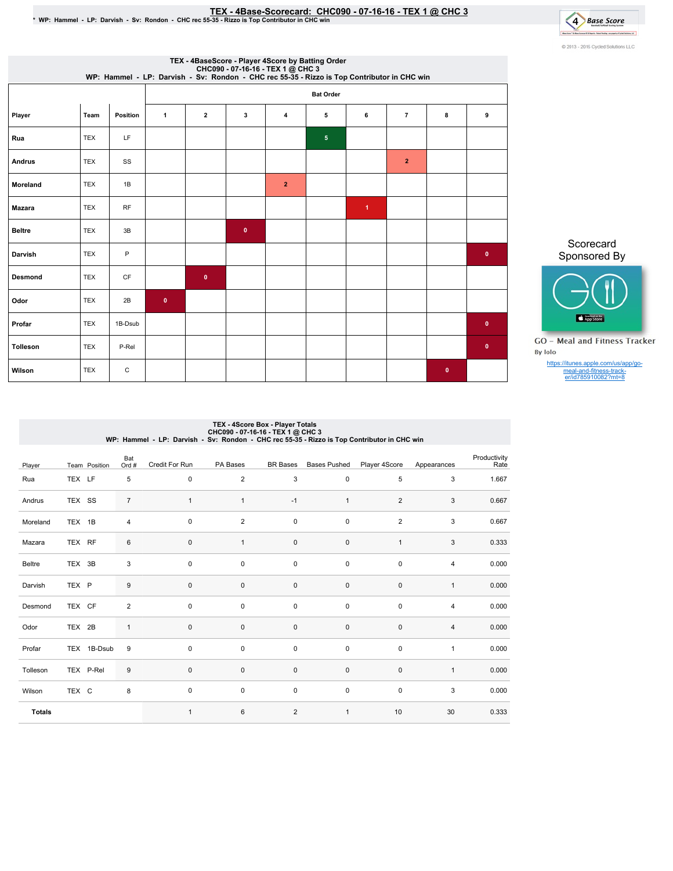# <u>TEX - 4Base-Scorecard: CHC090 - 07-16-16 - TEX 1 @ CHC 3</u><br>• WP: Hammel - LP: Darvish - Sv: Rondon - CHC rec 55-35 - Rizzo is Top Contributor in CHC win



|               |            |           |              |                |              | TEX - 4BaseScore - Player 4Score by Batting Order<br>CHC090 - 07-16-16 - TEX 1 @ CHC 3<br>WP: Hammel - LP: Darvish - Sv: Rondon - CHC rec 55-35 - Rizzo is Top Contributor in CHC win |                  |                      |                |           |             |
|---------------|------------|-----------|--------------|----------------|--------------|---------------------------------------------------------------------------------------------------------------------------------------------------------------------------------------|------------------|----------------------|----------------|-----------|-------------|
|               |            |           |              |                |              |                                                                                                                                                                                       | <b>Bat Order</b> |                      |                |           |             |
| Player        | Team       | Position  | $\mathbf{1}$ | $\overline{2}$ | 3            | 4                                                                                                                                                                                     | 5                | 6                    | $\overline{7}$ | 8         | 9           |
| Rua           | <b>TEX</b> | LF        |              |                |              |                                                                                                                                                                                       | $5\phantom{.0}$  |                      |                |           |             |
| Andrus        | <b>TEX</b> | SS        |              |                |              |                                                                                                                                                                                       |                  |                      | $\overline{2}$ |           |             |
| Moreland      | <b>TEX</b> | 1B        |              |                |              | $\overline{2}$                                                                                                                                                                        |                  |                      |                |           |             |
| <b>Mazara</b> | <b>TEX</b> | <b>RF</b> |              |                |              |                                                                                                                                                                                       |                  | $\blacktriangleleft$ |                |           |             |
| <b>Beltre</b> | <b>TEX</b> | 3B        |              |                | $\mathbf{0}$ |                                                                                                                                                                                       |                  |                      |                |           |             |
| Darvish       | <b>TEX</b> | P         |              |                |              |                                                                                                                                                                                       |                  |                      |                |           | $\bullet$   |
| Desmond       | <b>TEX</b> | CF        |              | $\pmb{0}$      |              |                                                                                                                                                                                       |                  |                      |                |           |             |
| Odor          | <b>TEX</b> | 2B        | $\mathbf{0}$ |                |              |                                                                                                                                                                                       |                  |                      |                |           |             |
| Profar        | <b>TEX</b> | 1B-Dsub   |              |                |              |                                                                                                                                                                                       |                  |                      |                |           | $\mathbf 0$ |
| Tolleson      | <b>TEX</b> | P-Rel     |              |                |              |                                                                                                                                                                                       |                  |                      |                |           | $\pmb{0}$   |
| Wilson        | <b>TEX</b> | C         |              |                |              |                                                                                                                                                                                       |                  |                      |                | $\bullet$ |             |

Scorecard Sponsored By



**GO** - Meal and Fitness Tracker By Iolo

https://itunes.apple.com/us/app/go-meal-and-fitness-track-er/id785910082?mt=8

# TEX - 4Score Box - Player Totals<br>CHC090 - 07-16-16-TEX 1 @ CHC 3<br>WP: Hammel - LP: Darvish - Sv: Rondon - CHC rec 55-35 - Rizzo is Top Contributor in CHC win

| Player        |        | Team Position | Bat<br>Ord #     | Credit For Run | PA Bases       | <b>BR</b> Bases | <b>Bases Pushed</b> | Player 4Score  | Appearances    | Productivity<br>Rate |
|---------------|--------|---------------|------------------|----------------|----------------|-----------------|---------------------|----------------|----------------|----------------------|
| Rua           | TEX LF |               | 5                | $\mathsf 0$    | $\overline{2}$ | 3               | $\pmb{0}$           | 5              | 3              | 1.667                |
| Andrus        | TEX SS |               | $\overline{7}$   | $\mathbf{1}$   | $\mathbf{1}$   | $-1$            | $\mathbf{1}$        | 2              | 3              | 0.667                |
| Moreland      | TEX 1B |               | 4                | 0              | 2              | 0               | 0                   | $\overline{2}$ | 3              | 0.667                |
| Mazara        | TEX RF |               | $\,6$            | $\mathbf 0$    | $\mathbf{1}$   | 0               | $\pmb{0}$           | $\mathbf{1}$   | 3              | 0.333                |
| Beltre        | TEX 3B |               | 3                | $\mathbf 0$    | $\pmb{0}$      | $\pmb{0}$       | 0                   | $\pmb{0}$      | $\overline{4}$ | 0.000                |
| Darvish       | TEX P  |               | $\boldsymbol{9}$ | 0              | $\mathbf 0$    | 0               | $\pmb{0}$           | $\pmb{0}$      | $\mathbf{1}$   | 0.000                |
| Desmond       | TEX CF |               | 2                | $\mathbf 0$    | $\pmb{0}$      | $\pmb{0}$       | 0                   | $\pmb{0}$      | $\overline{4}$ | 0.000                |
| Odor          | TEX 2B |               | $\mathbf{1}$     | $\mathbf 0$    | $\pmb{0}$      | $\pmb{0}$       | $\pmb{0}$           | $\pmb{0}$      | $\sqrt{4}$     | 0.000                |
| Profar        |        | TEX 1B-Dsub   | 9                | 0              | $\pmb{0}$      | $\pmb{0}$       | 0                   | $\pmb{0}$      | $\mathbf{1}$   | 0.000                |
| Tolleson      |        | TEX P-Rel     | $\boldsymbol{9}$ | 0              | $\pmb{0}$      | 0               | $\pmb{0}$           | $\pmb{0}$      | $\mathbf{1}$   | 0.000                |
| Wilson        | TEX C  |               | 8                | 0              | $\mathbf 0$    | 0               | 0                   | $\mathsf 0$    | 3              | 0.000                |
| <b>Totals</b> |        |               |                  | $\mathbf{1}$   | 6              | $\overline{2}$  | $\mathbf{1}$        | 10             | 30             | 0.333                |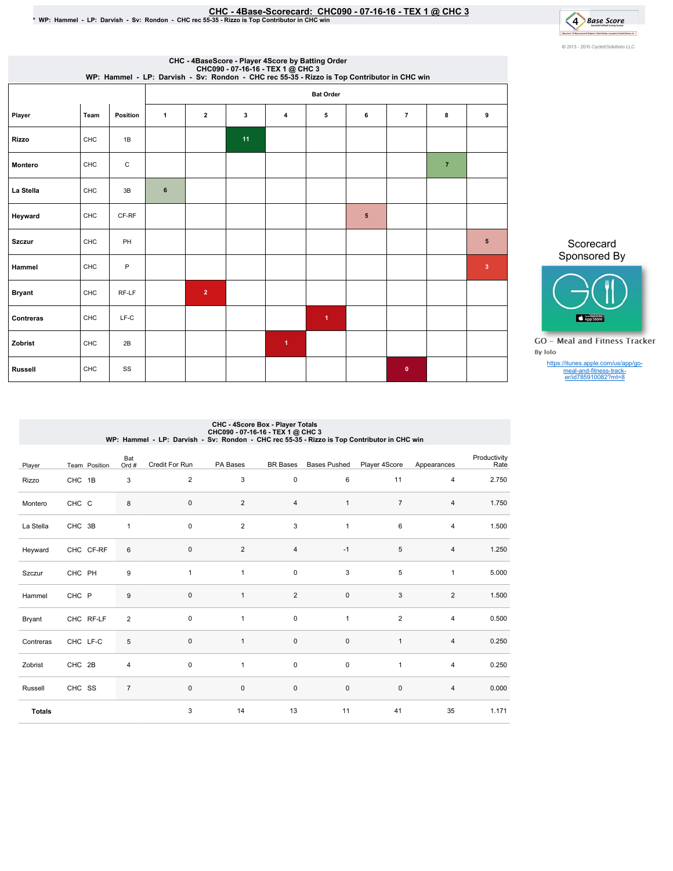## CHC-4Base-Scorecard:CHC090-07-16-16-TEX1@ CHC3 \*WP:Hammel-LP:Darvish-Sv:Rondon-CHCrec55-35-RizzoisTopContributorinCHCwin

4 Base Score to politically and the control of the con-C 2013 - 2016 Cycled Solutions LLC

|                |      |          |              |                |    | CHC - 4BaseScore - Player 4Score by Batting Order<br>CHC090 - 07-16-16 - TEX 1 @ CHC 3<br>WP: Hammel - LP: Darvish - Sv: Rondon - CHC rec 55-35 - Rizzo is Top Contributor in CHC win |                      |            |                |                |                         |
|----------------|------|----------|--------------|----------------|----|---------------------------------------------------------------------------------------------------------------------------------------------------------------------------------------|----------------------|------------|----------------|----------------|-------------------------|
|                |      |          |              |                |    |                                                                                                                                                                                       | <b>Bat Order</b>     |            |                |                |                         |
| Player         | Team | Position | $\mathbf{1}$ | $\overline{2}$ | 3  | $\overline{4}$                                                                                                                                                                        | 5                    | 6          | $\overline{7}$ | 8              | 9                       |
| <b>Rizzo</b>   | CHC  | 1B       |              |                | 11 |                                                                                                                                                                                       |                      |            |                |                |                         |
| Montero        | CHC  | C        |              |                |    |                                                                                                                                                                                       |                      |            |                | $\overline{7}$ |                         |
| La Stella      | CHC  | 3B       | 6            |                |    |                                                                                                                                                                                       |                      |            |                |                |                         |
| Heyward        | CHC  | CF-RF    |              |                |    |                                                                                                                                                                                       |                      | $\sqrt{5}$ |                |                |                         |
| <b>Szczur</b>  | CHC  | PH       |              |                |    |                                                                                                                                                                                       |                      |            |                |                | 5                       |
| Hammel         | CHC  | P        |              |                |    |                                                                                                                                                                                       |                      |            |                |                | $\overline{\mathbf{3}}$ |
| <b>Bryant</b>  | CHC  | RF-LF    |              | $\overline{2}$ |    |                                                                                                                                                                                       |                      |            |                |                |                         |
| Contreras      | CHC  | $LF-C$   |              |                |    |                                                                                                                                                                                       | $\blacktriangleleft$ |            |                |                |                         |
| Zobrist        | CHC  | 2B       |              |                |    | $\blacktriangleleft$                                                                                                                                                                  |                      |            |                |                |                         |
| <b>Russell</b> | CHC  | SS       |              |                |    |                                                                                                                                                                                       |                      |            | $\mathbf{0}$   |                |                         |

Scorecard Sponsored By



**GO** - Meal and Fitness Tracker By Iolo

https://itunes.apple.com/us/app/go-meal-and-fitness-track-er/id785910082?mt=8

# CHC - 4Score Box - Player Totals<br>CHC09 - 07-16-16-TEX 1 @ CHC9 - 2019<br>WP: Hammel - LP: Darvish - Sv: Rondon - CHC rec 55-35 - Rizzo is Top Contributor in CHC win

| Player        | Team Position | Bat<br>Ord #   | Credit For Run | PA Bases       | <b>BR</b> Bases | <b>Bases Pushed</b> | Player 4Score  | Appearances    | Productivity<br>Rate |
|---------------|---------------|----------------|----------------|----------------|-----------------|---------------------|----------------|----------------|----------------------|
| Rizzo         | CHC 1B        | 3              | $\overline{2}$ | 3              | $\mathsf 0$     | 6                   | 11             | 4              | 2.750                |
| Montero       | CHC C         | 8              | 0              | $\overline{2}$ | $\sqrt{4}$      | $\mathbf{1}$        | $\overline{7}$ | 4              | 1.750                |
| La Stella     | CHC 3B        | $\mathbf{1}$   | $\pmb{0}$      | 2              | 3               | $\mathbf{1}$        | 6              | 4              | 1.500                |
| Heyward       | CHC CF-RF     | 6              | $\pmb{0}$      | $\overline{2}$ | $\overline{4}$  | $-1$                | 5              | $\overline{4}$ | 1.250                |
| Szczur        | CHC PH        | 9              | $\mathbf{1}$   | $\mathbf{1}$   | $\pmb{0}$       | 3                   | 5              | $\mathbf{1}$   | 5.000                |
| Hammel        | CHC P         | $9\,$          | $\pmb{0}$      | $\mathbf{1}$   | $\overline{2}$  | $\pmb{0}$           | $\sqrt{3}$     | $\overline{2}$ | 1.500                |
| Bryant        | CHC RF-LF     | $\overline{2}$ | $\mathbf 0$    | $\mathbf{1}$   | $\pmb{0}$       | $\mathbf{1}$        | $\overline{2}$ | $\overline{4}$ | 0.500                |
| Contreras     | CHC LF-C      | 5              | $\pmb{0}$      | $\mathbf{1}$   | $\pmb{0}$       | $\pmb{0}$           | $\mathbf{1}$   | 4              | 0.250                |
| Zobrist       | CHC 2B        | $\overline{4}$ | $\pmb{0}$      | $\mathbf{1}$   | $\pmb{0}$       | $\pmb{0}$           | $\mathbf{1}$   | $\overline{4}$ | 0.250                |
| Russell       | CHC SS        | $\overline{7}$ | $\pmb{0}$      | $\mathbf 0$    | $\pmb{0}$       | $\pmb{0}$           | $\mathbf 0$    | 4              | 0.000                |
| <b>Totals</b> |               |                | 3              | 14             | 13              | 11                  | 41             | 35             | 1.171                |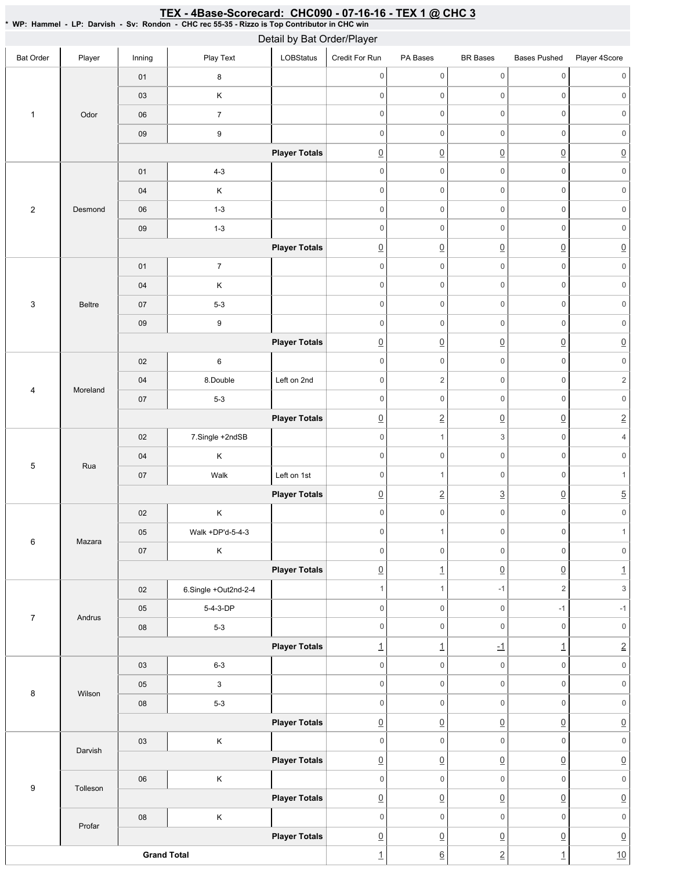#### Bat Order | Player | Inning | PlayText | LOBStatus Credit For Run PA Bases BR Bases Bases Pushed Player 4Score 1 Odor 01 8 03 K 06 7 09 9 **Player Totals** 2 Desmond 01 4-3 04 | K 06 1-3 09 1-3 **Player Totals** 3 Beltre 01 7 04 K 07 5-3 09 9 **Player Totals** 4 Moreland 02 6 04 8.Double Left on 2nd 07 5-3 **Player Totals** 5 Rua 02 7.Single +2ndSB 04 K 07 | Walk Left on 1st **Player Totals** 6 Mazara 02 K 05 Walk +DP'd-5-4-3 07 K **Player Totals** 7 Andrus 02 6.Single +Out2nd-2-4 05 5-4-3-DP 08 5-3 **Player Totals** 8 Wilson 03 6-3 05 3 08 5-3 **Player Totals** 9 Darvish 03 K **Player Totals** Tolleson 06 K **Player Totals** Profar 08 K **Player Totals Grand Total** 0 0 0 0 0 0 0 0 0 0 0 0 0 0 0 0 0 0 0 0 0 0 0 0  $\overline{0}$   $\overline{0}$   $\overline{0}$   $\overline{0}$   $\overline{0}$   $\overline{0}$   $\overline{0}$ 0 0 0 0 0 0 0 0 0 0 0 0 0 0 0 0 0 0 0 0 0 0 0 0 0 0 0 0 0 0 0 0 0 0 0 0 0 0 0 0 0 0 0 0 0 0 0 0 0 0 0 0 0  $\overline{0}$   $\overline{0}$   $\overline{0}$   $\overline{0}$   $\overline{0}$   $\overline{0}$   $\overline{0}$ 0 0 0 0 0 0  $0 \qquad \qquad 2 \qquad \qquad 0 \qquad \qquad 0 \qquad \qquad 2$ 0 0 0 0 0 0 0 2 0 0 2 0 1 3 0 4 0 0 0 0 0 0 0 0 1 0 1  $\boxed{0}$  2 3  $\boxed{0}$  5 0 0 0 0 0 0 0 0 1 0 1 0 0 0 0 0 0  $\Omega$  1 0 0  $\Omega$  1 1  $1$   $-1$   $2$   $3$ 0 0 -1 -1 0 0 0 0 0 0 1  $1$   $1$   $1$   $1$   $1$   $2$ 0 0 0 0 0 0 0 0 0 0 0 0 0 0 0 0 0 0  $\overline{0}$   $\overline{0}$   $\overline{0}$   $\overline{0}$   $\overline{0}$   $\overline{0}$   $\overline{0}$ 0 0 0 0 0 0  $\overline{0}$   $\overline{0}$   $\overline{0}$   $\overline{0}$   $\overline{0}$   $\overline{0}$   $\overline{0}$ 0 0 0 0 0 0 0 0 0 0 0 0 0 0 0 0 0 0 0 0 0 0 1 6 2 1 10 Detail by Bat Order/Player

### <u>TEX - 4Base-Scorecard: CHC090 - 07-16-16 - TEX 1 @ CHC 3</u>

\* WP: Hammel-LP: Darvish- Sv: Rondon- CHC rec 55-35 - Rizzo is Top Contributor in CHC win